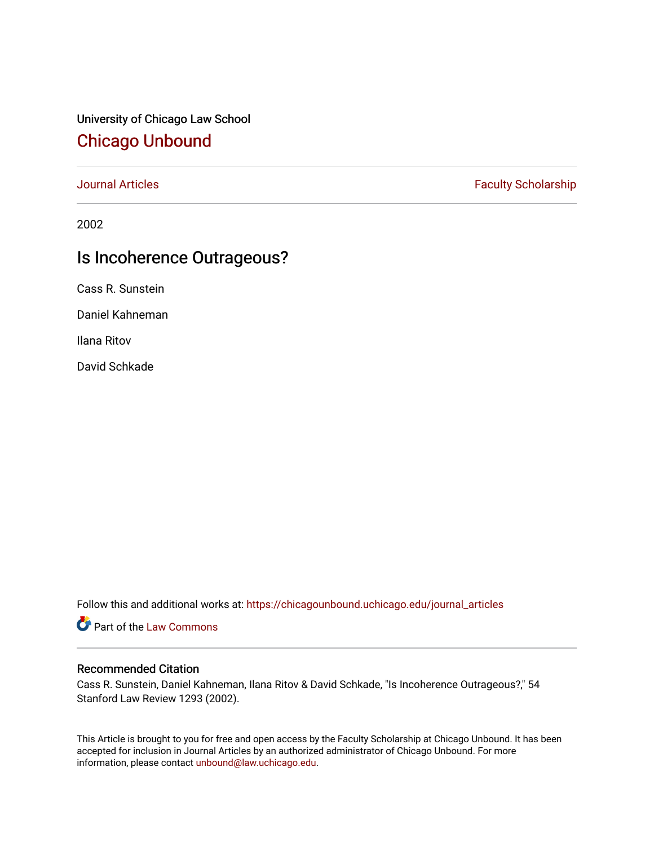# University of Chicago Law School [Chicago Unbound](https://chicagounbound.uchicago.edu/)

[Journal Articles](https://chicagounbound.uchicago.edu/journal_articles) **Faculty Scholarship Faculty Scholarship** 

2002

# Is Incoherence Outrageous?

Cass R. Sunstein

Daniel Kahneman

Ilana Ritov

David Schkade

Follow this and additional works at: [https://chicagounbound.uchicago.edu/journal\\_articles](https://chicagounbound.uchicago.edu/journal_articles?utm_source=chicagounbound.uchicago.edu%2Fjournal_articles%2F8429&utm_medium=PDF&utm_campaign=PDFCoverPages) 

Part of the [Law Commons](http://network.bepress.com/hgg/discipline/578?utm_source=chicagounbound.uchicago.edu%2Fjournal_articles%2F8429&utm_medium=PDF&utm_campaign=PDFCoverPages)

### Recommended Citation

Cass R. Sunstein, Daniel Kahneman, Ilana Ritov & David Schkade, "Is Incoherence Outrageous?," 54 Stanford Law Review 1293 (2002).

This Article is brought to you for free and open access by the Faculty Scholarship at Chicago Unbound. It has been accepted for inclusion in Journal Articles by an authorized administrator of Chicago Unbound. For more information, please contact [unbound@law.uchicago.edu](mailto:unbound@law.uchicago.edu).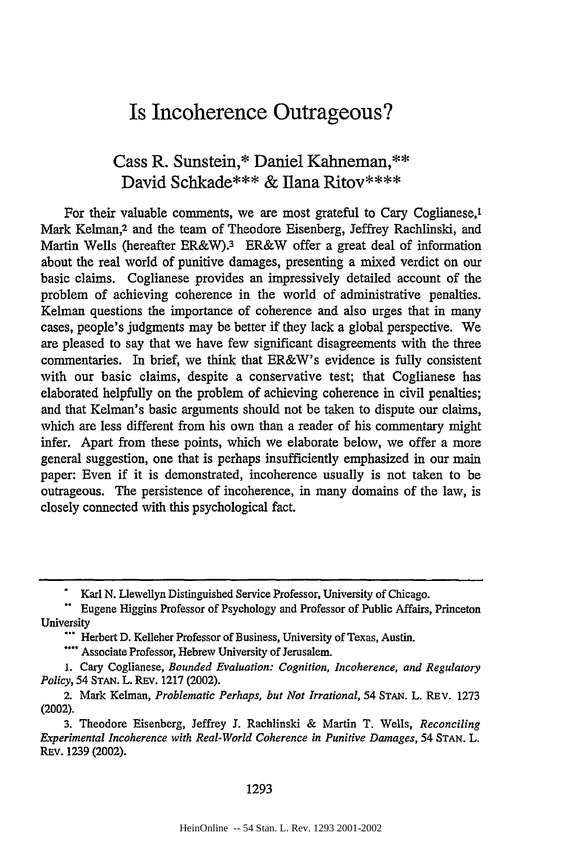# **Is Incoherence Outrageous?**

## Cass R. Sunstein,\* Daniel Kahneman,\*\* David Schkade\*\*\* & Ilana Ritov\*\*\*\*

For their valuable comments, we are most grateful to Cary Coglianese,<sup>1</sup> Mark Kelman,<sup>2</sup> and the team of Theodore Eisenberg, Jeffrey Rachlinski, and Martin Wells (hereafter ER&W).3 ER&W offer a great deal of information about the real world of punitive damages, presenting a mixed verdict on our basic claims. Coglianese provides an impressively detailed account of the problem of achieving coherence in the world of administrative penalties. Kelman questions the importance of coherence and also urges that in many cases, people's judgments may be better if they lack a global perspective. We are pleased to say that we have few significant disagreements with the three commentaries. In brief, we think that ER&W's evidence is fully consistent with our basic claims, despite a conservative test; that Coglianese has elaborated helpfully on the problem of achieving coherence in civil penalties; and that Kelman's basic arguments should not be taken to dispute our claims, which are less different from his own than a reader of his commentary might infer. Apart from these points, which we elaborate below, we offer a more general suggestion, one that is perhaps insufficiently emphasized in our main paper: Even if it is demonstrated, incoherence usually is not taken to be outrageous. The persistence of incoherence, in many domains of the law, is closely connected with this psychological fact.

1293

Karl N. Llewellyn Distinguished Service Professor, University of Chicago.

Eugene Higgins Professor of Psychology and Professor of Public Affairs, Princeton University

Herbert D. Kelleher Professor of Business, University of Texas, Austin.

<sup>\*\*\*\*</sup> Associate Professor, Hebrew University of Jerusalem.

I. Cary Coglianese, *Bounded Evaluation: Cognition, Incoherence, and Regulatory Policy, 54 STAN. L. REV. 1217 (2002).* 

<sup>2.</sup> Mark Kelman, *Problematic Perhaps, but Not Irrational,* 54 STAN. L. REv. 1273 (2002).

<sup>3.</sup> Theodore Eisenberg, Jeffrey **J.** Rachlinski & Martin T. Wells, *Reconciling Experimental Incoherence with Real-World Coherence in Punitive Damages,* 54 **STAN.** L. REv. 1239 (2002).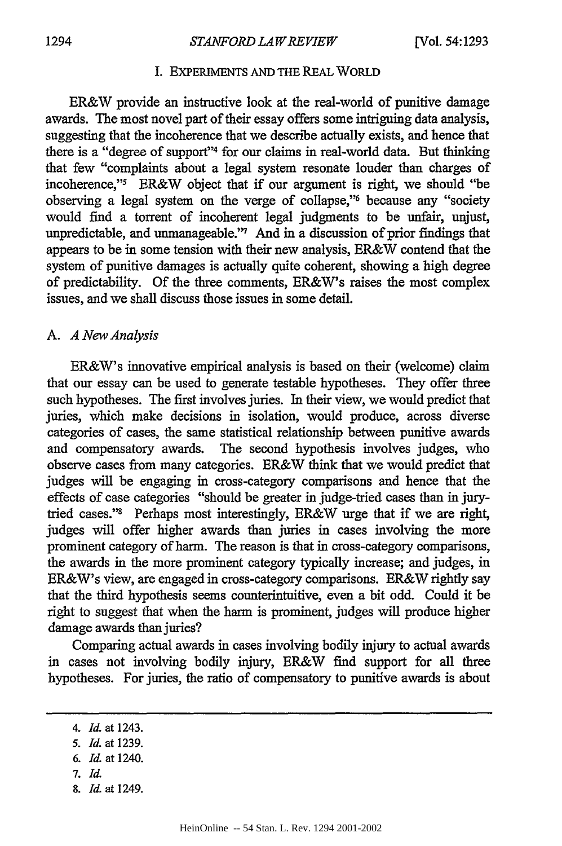#### I. EXPERIMENTS AND THE REAL WORLD

ER&W provide an instructive look at the real-world of punitive damage awards. The most novel part of their essay offers some intriguing data analysis, suggesting that the incoherence that we describe actually exists, and hence that there is a "degree of support"4 for our claims in real-world data. But thinking that few "complaints about a legal system resonate louder than charges of incoherence,"<sup>5</sup> ER&W object that if our argument is right, we should "be observing a legal system on the verge of collapse," because any "society would find a torrent of incoherent legal judgments to be unfair, unjust, unpredictable, and unmanageable.<sup> $m$ </sup> And in a discussion of prior findings that appears to be in some tension with their new analysis, ER&W contend that the system of punitive damages is actually quite coherent, showing a high degree of predictability. Of the three comments, ER&W's raises the most complex issues, and we shall discuss those issues in some detail.

#### A. *A New Analysis*

ER&W's innovative empirical analysis is based on their (welcome) claim that our essay can be used to generate testable hypotheses. They offer three such hypotheses. The first involves juries. In their view, we would predict that juries, which make decisions in isolation, would produce, across diverse categories of cases, the same statistical relationship between punitive awards and compensatory awards. The second hypothesis involves judges, who observe cases from many categories. ER&W think that we would predict that judges will be engaging in cross-category comparisons and hence that the effects of case categories "should be greater in judge-tried cases than in jurytried cases."' Perhaps most interestingly, ER&W urge that if we are right, judges will offer higher awards than juries in cases involving the more prominent category of harm. The reason is that in cross-category comparisons, the awards in the more prominent category typically increase; and judges, in ER&W's view, are engaged in cross-category comparisons. ER&W rightly say that the third hypothesis seems counterintuitive, even a bit odd. Could it be right to suggest that when the harm is prominent, judges will produce higher damage awards than juries?

Comparing actual awards in cases involving bodily injury to actual awards in cases not involving bodily injury, ER&W find support for all three hypotheses. For juries, the ratio of compensatory to punitive awards is about

- *7. Id.*
- 8. *Id.* at 1249.

*<sup>4.</sup> Id.* at 1243.

*<sup>5.</sup> Id.* at 1239.

*<sup>6.</sup> Id.* at 1240.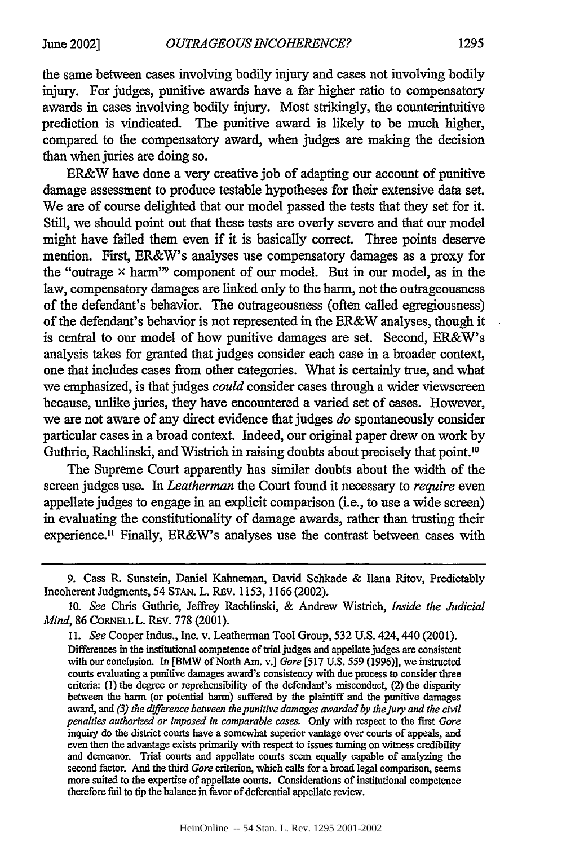the same between cases involving bodily injury and cases not involving bodily injury. For judges, punitive awards have a far higher ratio to compensatory awards in cases involving bodily injury. Most strikingly, the counterintuitive prediction is vindicated. The punitive award is likely to be much higher, compared to the compensatory award, when judges are making the decision than when juries are doing so.

ER&W have done a very creative job of adapting our account of punitive damage assessment to produce testable hypotheses for their extensive data set. We are of course delighted that our model passed the tests that they set for it. Still, we should point out that these tests are overly severe and that our model might have failed them even if it is basically correct. Three points deserve mention. First, ER&W's analyses use compensatory damages as a proxy for the "outrage  $\times$  harm"<sup>9</sup> component of our model. But in our model, as in the law, compensatory damages are linked only to the harm, not the outrageousness of the defendant's behavior. The outrageousness (often called egregiousness) of the defendant's behavior is not represented in the ER&W analyses, though it is central to our model of how punitive damages are set. Second, ER&W's analysis takes for granted that judges consider each case in a broader context, one that includes cases from other categories. What is certainly true, and what we emphasized, is that judges *could* consider cases through a wider viewscreen because, unlike juries, they have encountered a varied set of cases. However, we are not aware of any direct evidence that judges *do* spontaneously consider particular cases in a broad context. Indeed, our original paper drew on work by Guthrie, Rachlinski, and Wistrich in raising doubts about precisely that point.<sup>10</sup>

The Supreme Court apparently has similar doubts about the width of the screen judges use. In *Leatherman* the Court found it necessary to *require* even appellate judges to engage in an explicit comparison (i.e., to use a wide screen) in evaluating the constitutionality of damage awards, rather than trusting their experience.<sup>11</sup> Finally, ER&W's analyses use the contrast between cases with

*11. See* Cooper Indus., Inc. v. Leatherman Tool Group, 532 U.S. 424,440 (2001). Differences in the institutional competence of trial judges and appellate judges are consistent with our conclusion. In [BMW of North Am. v.] *Gore* [517 U.S. 559 (1996)], we instructed courts evaluating a punitive damages award's consistency with due process to consider three criteria: (1) the degree or reprehensibility of the defendant's misconduct, (2) the disparity between the harm (or potential harm) suffered **by** the plaintiff and the punitive damages award, and *(3) the difference between the punitive damages awarded by the jury and the civil penalties authorized or imposed in comparable cases.* Only with respect to the first *Gore* inquiry do the district courts have a somewhat superior vantage over courts of appeals, and even then the advantage exists primarily with respect to issues turning on witness credibility and demeanor. Trial courts and appellate courts seem equally capable of analyzing the second factor. And the third *Gore* criterion, which calls for a broad legal comparison, seems more suited to the expertise of appellate courts. Considerations of institutional competence therefore fail to tip the balance in favor of deferential appellate review.

<sup>9.</sup> Cass R. Sunstein, Daniel Kahneman, David Schkade & Ilana Ritov, Predictably Incoherent Judgments, 54 STAN. L. REV. 1153, 1166(2002).

<sup>10.</sup> *See* Chris Guthrie, Jeffrey Rachlinski, & Andrew Wistrich, *Inside the Judicial Mind,* 86 CORNELL L. REv. 778 (2001).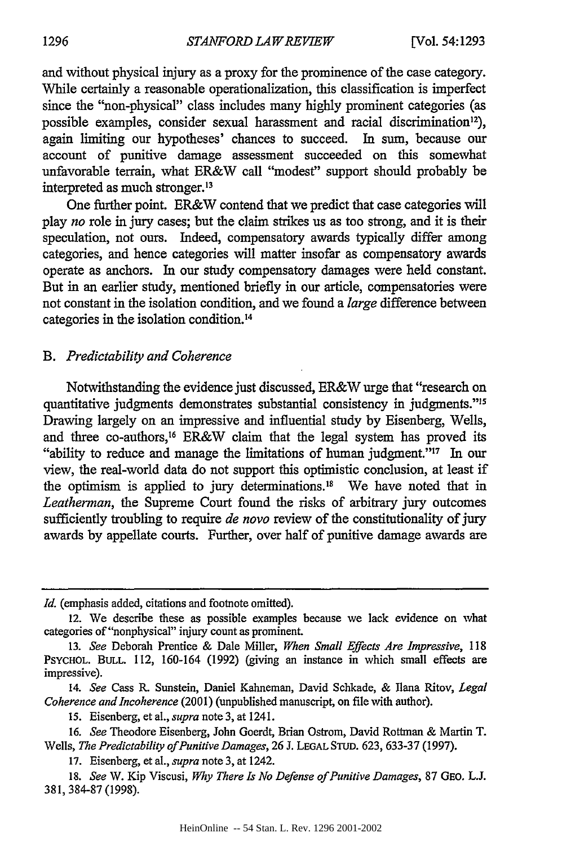and without physical injury as a proxy for the prominence of the case category. While certainly a reasonable operationalization, this classification is imperfect since the "non-physical" class includes many highly prominent categories (as possible examples, consider sexual harassment and racial discrimination<sup>12</sup>), again limiting our hypotheses' chances to succeed. In sum, because our account of punitive damage assessment succeeded on this somewhat unfavorable terrain, what ER&W call "modest" support should probably be interpreted as much stronger.'<sup>3</sup>

One further point. ER&W contend that we predict that case categories will play *no* role in jury cases; but the claim strikes us as too strong, and it is their speculation, not ours. Indeed, compensatory awards typically differ among categories, and hence categories will matter insofar as compensatory awards operate as anchors. In our study compensatory damages were held constant. But in an earlier study, mentioned briefly in our article, compensatories were not constant in the isolation condition, and we found a *large* difference between categories in the isolation condition.<sup>14</sup>

#### *B. Predictability and Coherence*

Notwithstanding the evidence just discussed, ER&W urge that "research on quantitative judgments demonstrates substantial consistency in judgments."<sup>15</sup> Drawing largely on an impressive and influential study by Eisenberg, Wells, and three co-authors,<sup>16</sup> ER&W claim that the legal system has proved its "ability to reduce and manage the limitations of human judgment."<sup>17</sup> In our view, the real-world data do not support this optimistic conclusion, at least if the optimism is applied to jury determinations.'8 We have noted that in *Leatherman,* the Supreme Court found the risks of arbitrary jury outcomes sufficiently troubling to require *de novo* review of the constitutionality of jury awards by appellate courts. Further, over half of punitive damage awards are

*Id.* (emphasis added, citations and footnote omitted).

<sup>12.</sup> We describe these as possible examples because we lack evidence on what categories of"nonphysical" injury count as prominent.

<sup>13.</sup> *See* Deborah Prentice & Dale Miller, *When Small Effects Are Impressive,* <sup>118</sup> PSYCHOL. BULL. 112, 160-164 (1992) (giving an instance in which small effects are impressive).

<sup>14.</sup> *See* Cass R. Sunstein, Daniel Kahneman, David Schkade, & Ilana Ritov, *Legal Coherence and Incoherence* (2001) (unpublished manuscript, on file with author).

<sup>15.</sup> Eisenberg, et al., *supra* note 3, at 1241.

<sup>16.</sup> *See* Theodore Eisenberg, John Goerdt, Brian Ostrom, David Rottman & Martin T. Wells, *The Predictability of Punitive Damages,* 26 J. LEGAL STUD. 623, 633-37 (1997).

<sup>17.</sup> Eisenberg, et al., *supra* note 3, at 1242.

<sup>18.</sup> *See* W. Kip Viscusi, *Why There Is No Defense of Punitive Damages,* 87 GEO. L.J. 381, 384-87 (1998).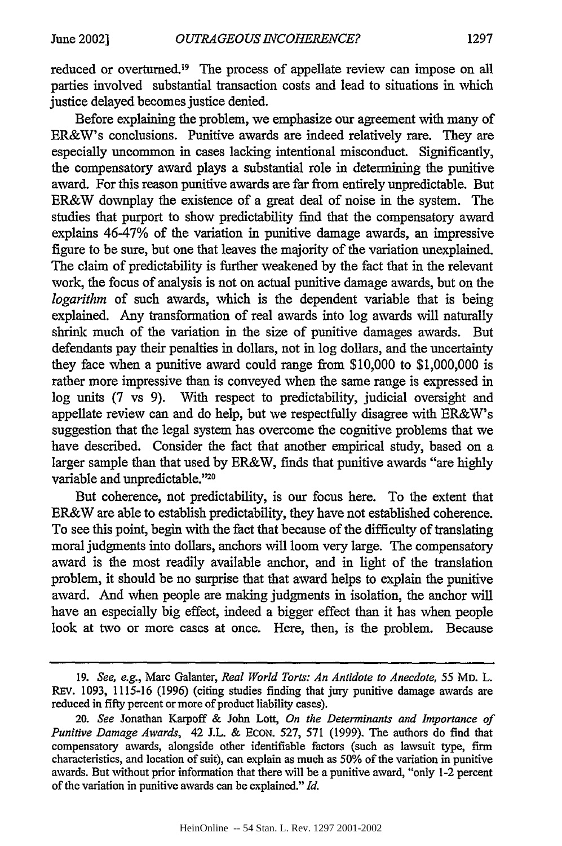reduced or overturned.<sup>19</sup> The process of appellate review can impose on all parties involved substantial transaction costs and lead to situations in which justice delayed becomes justice denied.

Before explaining the problem, we emphasize our agreement with many of ER&W's conclusions. Punitive awards are indeed relatively rare. They are especially uncommon in cases lacking intentional misconduct. Significantly, the compensatory award plays a substantial role in determining the punitive award. For this reason punitive awards are far from entirely unpredictable. But ER&W downplay the existence of a great deal of noise in the system. The studies that purport to show predictability find that the compensatory award explains 46-47% of the variation in punitive damage awards, an impressive figure to be sure, but one that leaves the majority of the variation unexplained. The claim of predictability is further weakened by the fact that in the relevant work, the focus of analysis is not on actual punitive damage awards, but on the *logarithm* of such awards, which is the dependent variable that is being explained. Any transformation of real awards into log awards will naturally shrink much of the variation in the size of punitive damages awards. But defendants pay their penalties in dollars, not in log dollars, and the uncertainty they face when a punitive award could range from \$10,000 to \$1,000,000 is rather more impressive than is conveyed when the same range is expressed in log units (7 vs 9). With respect to predictability, judicial oversight and appellate review can and do help, but we respectfully disagree with ER&W's suggestion that the legal system has overcome the cognitive problems that we have described. Consider the fact that another empirical study, based on a larger sample than that used by ER&W, finds that punitive awards "are highly variable and unpredictable."20

But coherence, not predictability, is our focus here. To the extent that ER&W are able to establish predictability, they have not established coherence. To see this point, begin with the fact that because of the difficulty of translating moral judgments into dollars, anchors will loom very large. The compensatory award is the most readily available anchor, and in light of the translation problem, it should be no surprise that that award helps to explain the punitive award. And when people are making judgments in isolation, the anchor will have an especially big effect, indeed a bigger effect than it has when people look at two or more cases at once. Here, then, is the problem. Because

<sup>19.</sup> *See, e.g.,* Marc Galanter, *Real World Torts: An Antidote to Anecdote, 55* MD. L. REV. 1093, 1115-16 (1996) (citing studies finding that jury punitive damage awards are reduced in fifty percent or more of product liability cases).

<sup>20.</sup> *See* Jonathan Karpoff & John Lott, *On the Determinants and Importance of Punitive Damage Awards,* 42 J.L. & EcoN. 527, 571 (1999). The authors do find that compensatory awards, alongside other identifiable factors (such as lawsuit type, firm characteristics, and location of suit), can explain as much as 50% of the variation in punitive awards. But without prior information that there will be a punitive award, "only 1-2 percent of the variation in punitive awards can be explained." *Id.*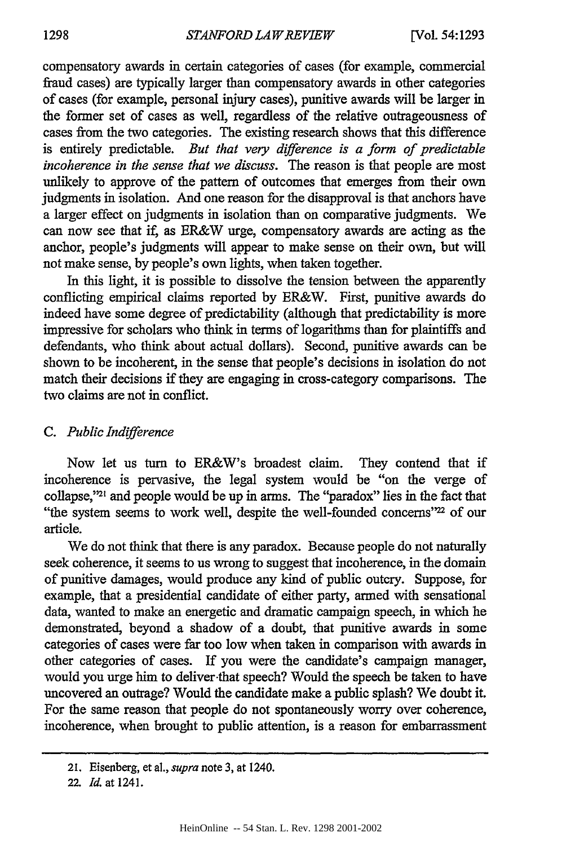compensatory awards in certain categories of cases (for example, commercial fraud cases) are typically larger than compensatory awards in other categories of cases (for example, personal injury cases), punitive awards will be larger in the former set of cases as well, regardless of the relative outrageousness of cases from the two categories. The existing research shows that this difference is entirely predictable. *But that very difference is a form of predictable incoherence in the sense that we discuss.* The reason is that people are most unlikely to approve of the pattern of outcomes that emerges from their own judgments in isolation. And one reason for the disapproval is that anchors have a larger effect on judgments in isolation than on comparative judgments. We can now see that if, as ER&W urge, compensatory awards are acting as the anchor, people's judgments will appear to make sense on their own, but will not make sense, by people's own lights, when taken together.

In this light, it is possible to dissolve the tension between the apparently conflicting empirical claims reported by ER&W. First, punitive awards do indeed have some degree of predictability (although that predictability is more impressive for scholars who think in terms of logarithms than for plaintiffs and defendants, who think about actual dollars). Second, punitive awards can be shown to be incoherent, in the sense that people's decisions in isolation do not match their decisions if they are engaging in cross-category comparisons. The two claims are not in conflict.

### *C. Public Indifference*

Now let us turn to ER&W's broadest claim. They contend that if incoherence is pervasive, the legal system would be "on the verge of collapse,"2' and people would be up in arms. The "paradox" lies in the fact that "the system seems to work well, despite the well-founded concerns"<sup>22</sup> of our article.

We do not think that there is any paradox. Because people do not naturally seek coherence, it seems to us wrong to suggest that incoherence, in the domain of punitive damages, would produce any kind of public outcry. Suppose, for example, that a presidential candidate of either party, armed with sensational data, wanted to make an energetic and dramatic campaign speech, in which he demonstrated, beyond a shadow of a doubt, that punitive awards in some categories of cases were far too low when taken in comparison with awards in other categories of cases. If you were the candidate's campaign manager, would you urge him to deliver-that speech? Would the speech be taken to have uncovered an outrage? Would the candidate make a public splash? We doubt it. For the same reason that people do not spontaneously worry over coherence, incoherence, when brought to public attention, is a reason for embarrassment

<sup>21.</sup> Eisenberg, et al., *supra* note 3, at 1240.

<sup>22.</sup> *Id.* at 1241.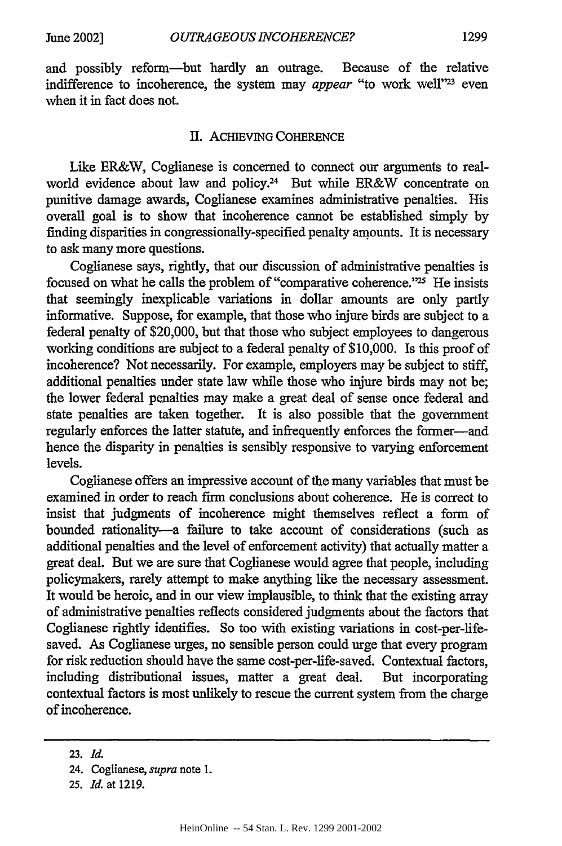and possibly reform-but hardly an outrage. Because of the relative indifference to incoherence, the system may *appear* "to work well"<sup>23</sup> even when it in fact does not.

### II. ACHIEVING COHERENCE

Like ER&W, Coglianese is concerned to connect our arguments to realworld evidence about law and policy.<sup>24</sup> But while ER&W concentrate on punitive damage awards, Coglianese examines administrative penalties. His overall goal is to show that incoherence cannot be established simply by finding disparities in congressionally-specified penalty amounts. It is necessary to ask many more questions.

Coglianese says, rightly, that our discussion of administrative penalties is focused on what he calls the problem of "comparative coherence."<sup>25</sup> He insists that seemingly inexplicable variations in dollar amounts are only partly informative. Suppose, for example, that those who injure birds are subject to a federal penalty of \$20,000, but that those who subject employees to dangerous working conditions are subject to a federal penalty of \$10,000. Is this proof of incoherence? Not necessarily. For example, employers may be subject to stiff, additional penalties under state law while those who injure birds may not be; the lower federal penalties may make a great deal of sense once federal and state penalties are taken together. It is also possible that the government regularly enforces the latter statute, and infrequently enforces the former—and hence the disparity in penalties is sensibly responsive to varying enforcement levels.

Coglianese offers an impressive account of the many variables that must be examined in order to reach firm conclusions about coherence. He is correct to insist that judgments of incoherence might themselves reflect a form of bounded rationality-a failure to take account of considerations (such as additional penalties and the level of enforcement activity) that actually matter a great deal. But we are sure that Coglianese would agree that people, including policymakers, rarely attempt to make anything like the necessary assessment. It would be heroic, and in our view implausible, to think that the existing array of administrative penalties reflects considered judgments about the factors that Coglianese rightly identifies. So too with existing variations in cost-per-lifesaved. As Coglianese urges, no sensible person could urge that every program for risk reduction should have the same cost-per-life-saved. Contextual factors, including distributional issues, matter a great deal. But incorporating contextual factors is most unlikely to rescue the current system from the charge of incoherence.

<sup>23.</sup> *Id.*

<sup>24.</sup> Coglianese, *supra* note **1.**

<sup>25.</sup> *Id.* at 1219.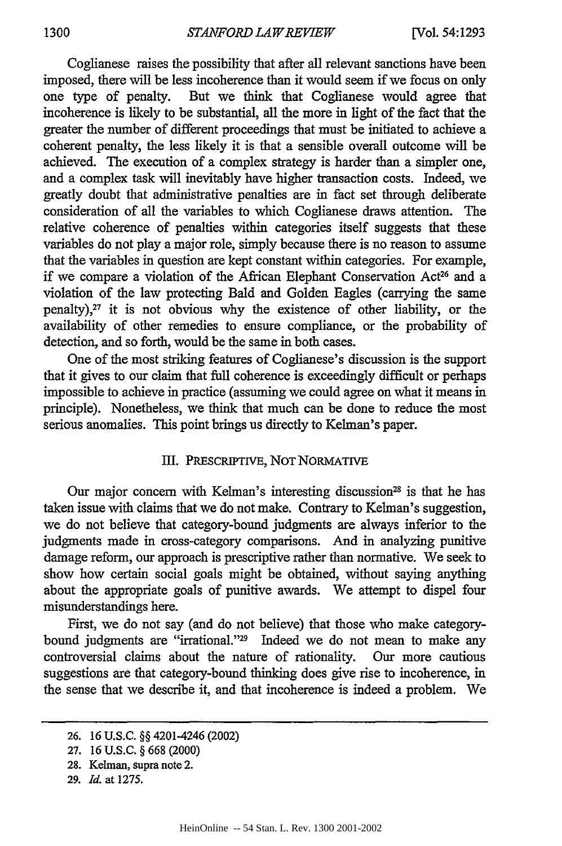Coglianese raises the possibility that after all relevant sanctions have been imposed, there will be less incoherence than it would seem if we focus on only one type of penalty. But we think that Coglianese would agree that incoherence is likely to be substantial, all the more in light of the fact that the greater the number of different proceedings that must be initiated to achieve a coherent penalty, the less likely it is that a sensible overall outcome will be achieved. The execution of a complex strategy is harder than a simpler one, and a complex task will inevitably have higher transaction costs. Indeed, we greatly doubt that administrative penalties are in fact set through deliberate consideration of all the variables to which Coglianese draws attention. The relative coherence of penalties within categories itself suggests that these variables do not play a major role, simply because there is no reason to assume that the variables in question are kept constant within categories. For example, if we compare a violation of the African Elephant Conservation Act<sup>26</sup> and a violation of the law protecting Bald and Golden Eagles (carrying the same penalty),27 it is not obvious why the existence of other liability, or the availability of other remedies to ensure compliance, or the probability of detection, and so forth, would be the same in both cases.

One of the most striking features of Coglianese's discussion is the support that it gives to our claim that full coherence is exceedingly difficult or perhaps impossible to achieve in practice (assuming we could agree on what it means in principle). Nonetheless, we think that much can be done to reduce the most serious anomalies. This point brings us directly to Kelman's paper.

#### III. PREScRIPTIwE, NOT NORMATIVE

Our major concern with Kelman's interesting discussion<sup>28</sup> is that he has taken issue with claims that we do not make. Contrary to Kelman's suggestion, we do not believe that category-bound judgments are always inferior to the judgments made in cross-category comparisons. And in analyzing punitive damage reform, our approach is prescriptive rather than normative. We seek to show how certain social goals might be obtained, without saying anything about the appropriate goals of punitive awards. We attempt to dispel four misunderstandings here.

First, we do not say (and do not believe) that those who make categorybound judgments are "irrational."<sup>29</sup> Indeed we do not mean to make any controversial claims about the nature of rationality. Our more cautious suggestions are that category-bound thinking does give rise to incoherence, in the sense that we describe it, and that incoherence is indeed a problem. We

<sup>26. 16</sup> U.S.C. §§ 4201.4246 (2002)

<sup>27. 16</sup> U.S.C. § 668 (2000)

<sup>28.</sup> Kelman, supra note 2.

<sup>29.</sup> *Id.* at 1275.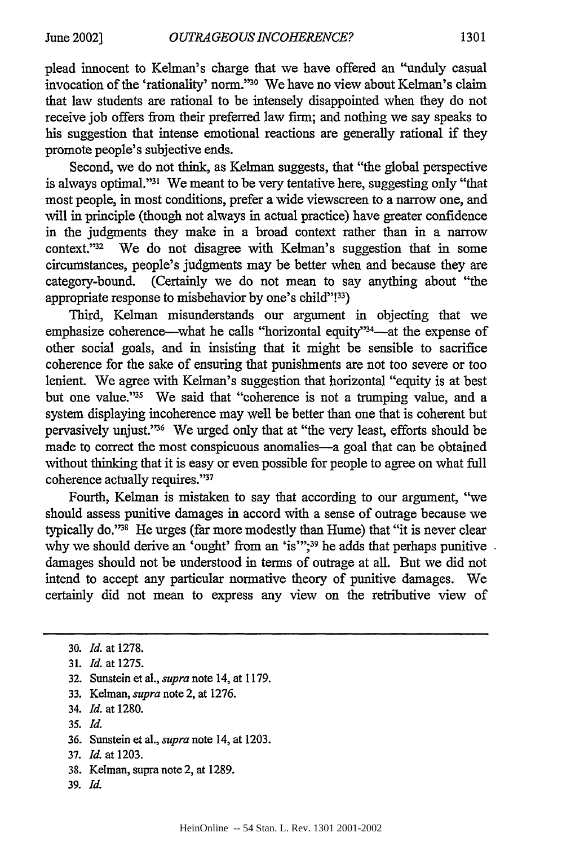plead innocent to Kelman's charge that we have offered an "unduly casual

invocation of the 'rationality' norm."<sup>30</sup> We have no view about Kelman's claim that law students are rational to be intensely disappointed when they do not receive job offers from their preferred law firm; and nothing we say speaks to his suggestion that intense emotional reactions are generally rational if they promote people's subjective ends.

Second, we do not think, as Kelman suggests, that "the global perspective is always optimal."<sup>31</sup> We meant to be very tentative here, suggesting only "that most people, in most conditions, prefer a wide viewscreen to a narrow one, and will in principle (though not always in actual practice) have greater confidence in the judgments they make in a broad context rather than in a narrow context."32 We do not disagree with Kelman's suggestion that in some circumstances, people's judgments may be better when and because they are category-bound. (Certainly we do not mean to say anything about "the appropriate response to misbehavior by one's child"!33)

Third, Kelman misunderstands our argument in objecting that we emphasize coherence—what he calls "horizontal equity"<sup>34</sup>—at the expense of other social goals, and in insisting that it might be sensible to sacrifice coherence for the sake of ensuring that punishments are not too severe or too lenient. We agree with Kelman's suggestion that horizontal "equity is at best but one value."3s We said that "coherence is not a trumping value, and a system displaying incoherence may well be better than one that is coherent but pervasively unjust."36 We urged only that at "the very least, efforts should be made to correct the most conspicuous anomalies—a goal that can be obtained without thinking that it is easy or even possible for people to agree on what full coherence actually requires."37

Fourth, Kelman is mistaken to say that according to our argument, "we should assess punitive damages in accord with a sense of outrage because we typically do."<sup>38</sup> He urges (far more modestly than Hume) that "it is never clear why we should derive an 'ought' from an 'is'";<sup>39</sup> he adds that perhaps punitive. damages should not be understood in terms of outrage at all. But we did not intend to accept any particular normative theory of punitive damages. We certainly did not mean to express any view on the retributive view of

- 33. Kelman, *supra* note 2, at 1276.
- 34. *Id.* at 1280.
- 35. *Id.*
- 36. Sunstein et al., *supra* note 14, at 1203.
- 37. *Id.* at 1203.
- 38. Kelman, supra note 2, at 1289.
- 39. *Id.*

<sup>30.</sup> *Id.* at 1278.

<sup>31.</sup> *Id.* at 1275.

<sup>32.</sup> Sunstein et al., *supra* note 14, at 1179.